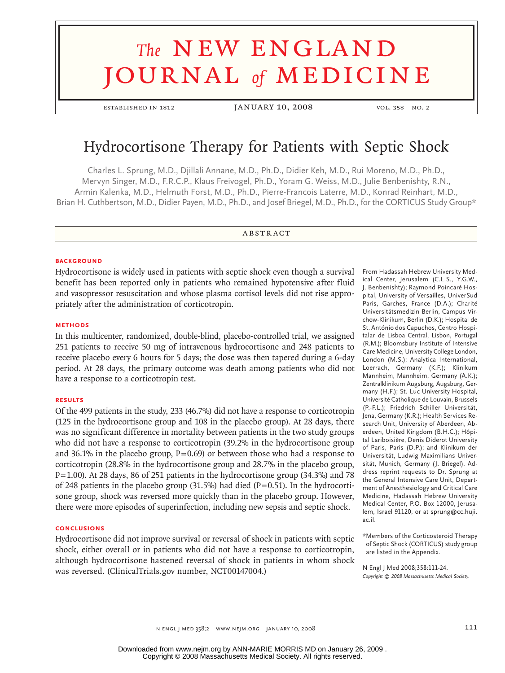# **The NEW ENGLAND** journal *of* medicine

ESTABLISHED IN 1812 JANUARY 10, 2008 vol. 358 No. 2

# Hydrocortisone Therapy for Patients with Septic Shock

Charles L. Sprung, M.D., Djillali Annane, M.D., Ph.D., Didier Keh, M.D., Rui Moreno, M.D., Ph.D., Mervyn Singer, M.D., F.R.C.P., Klaus Freivogel, Ph.D., Yoram G. Weiss, M.D., Julie Benbenishty, R.N., Armin Kalenka, M.D., Helmuth Forst, M.D., Ph.D., Pierre-Francois Laterre, M.D., Konrad Reinhart, M.D., Brian H. Cuthbertson, M.D., Didier Payen, M.D., Ph.D., and Josef Briegel, M.D., Ph.D., for the CORTICUS Study Group\*

#### **ABSTRACT**

#### **BACKGROUND**

Hydrocortisone is widely used in patients with septic shock even though a survival benefit has been reported only in patients who remained hypotensive after fluid and vasopressor resuscitation and whose plasma cortisol levels did not rise appropriately after the administration of corticotropin.

#### **Methods**

In this multicenter, randomized, double-blind, placebo-controlled trial, we assigned 251 patients to receive 50 mg of intravenous hydrocortisone and 248 patients to receive placebo every 6 hours for 5 days; the dose was then tapered during a 6-day period. At 28 days, the primary outcome was death among patients who did not have a response to a corticotropin test.

#### **Results**

Of the 499 patients in the study, 233 (46.7%) did not have a response to corticotropin (125 in the hydrocortisone group and 108 in the placebo group). At 28 days, there was no significant difference in mortality between patients in the two study groups who did not have a response to corticotropin (39.2% in the hydrocortisone group and 36.1% in the placebo group,  $P=0.69$  or between those who had a response to corticotropin (28.8% in the hydrocortisone group and 28.7% in the placebo group,  $P=1.00$ ). At 28 days, 86 of 251 patients in the hydrocortisone group (34.3%) and 78 of 248 patients in the placebo group  $(31.5\%)$  had died  $(P=0.51)$ . In the hydrocortisone group, shock was reversed more quickly than in the placebo group. However, there were more episodes of superinfection, including new sepsis and septic shock.

#### **Conclusions**

Hydrocortisone did not improve survival or reversal of shock in patients with septic shock, either overall or in patients who did not have a response to corticotropin, although hydrocortisone hastened reversal of shock in patients in whom shock was reversed. (ClinicalTrials.gov number, NCT00147004.)

From Hadassah Hebrew University Medical Center, Jerusalem (C.L.S., Y.G.W., J. Benbenishty); Raymond Poincaré Hospital, University of Versailles, UniverSud Paris, Garches, France (D.A.); Charité Universitätsmedizin Berlin, Campus Virchow-Klinikum, Berlin (D.K.); Hospital de St. António dos Capuchos, Centro Hospitalar de Lisboa Central, Lisbon, Portugal (R.M.); Bloomsbury Institute of Intensive Care Medicine, University College London, London (M.S.); Analytica International, Loerrach, Germany (K.F.); Klinikum Mannheim, Mannheim, Germany (A.K.); Zentralklinikum Augsburg, Augsburg, Germany (H.F.); St. Luc University Hospital, Université Catholique de Louvain, Brussels (P.-F.L.); Friedrich Schiller Universität, Jena, Germany (K.R.); Health Services Research Unit, University of Aberdeen, Aberdeen, United Kingdom (B.H.C.); Hôpital Lariboisière, Denis Diderot University of Paris, Paris (D.P.); and Klinikum der Universität, Ludwig Maximilians Universität, Munich, Germany (J. Briegel). Address reprint requests to Dr. Sprung at the General Intensive Care Unit, Department of Anesthesiology and Critical Care Medicine, Hadassah Hebrew University Medical Center, P.O. Box 12000, Jerusalem, Israel 91120, or at sprung@cc.huji. ac.il.

\*Members of the Corticosteroid Therapy of Septic Shock (CORTICUS) study group are listed in the Appendix.

N Engl J Med 2008;358:111-24. *Copyright © 2008 Massachusetts Medical Society.*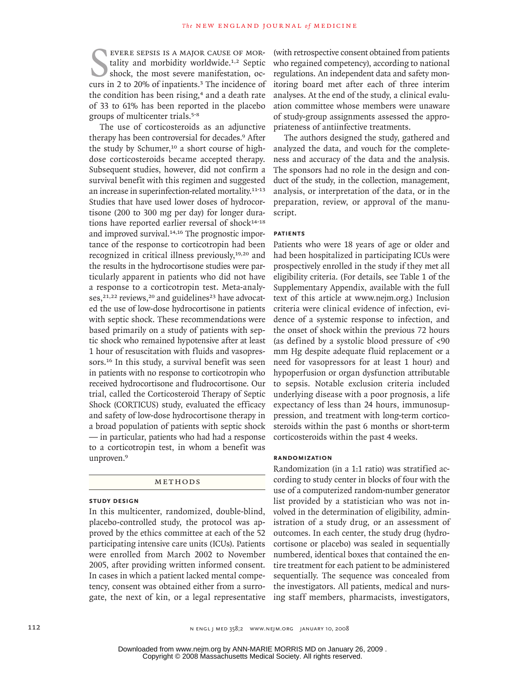EVERE SEPSIS IS A MAJOR CAUSE OF MORtality and morbidity worldwide.<sup>1,2</sup> Septic shock, the most severe manifestation, occurs in 2 to 20% of inpatients.<sup>3</sup> The incidence of evere sepsis is a major cause of mortality and morbidity worldwide.<sup>1,2</sup> Septic shock, the most severe manifestation, octhe condition has been rising,<sup>4</sup> and a death rate of 33 to 61% has been reported in the placebo groups of multicenter trials.5‑8

The use of corticosteroids as an adjunctive therapy has been controversial for decades.9 After the study by Schumer,<sup>10</sup> a short course of highdose corticosteroids became accepted therapy. Subsequent studies, however, did not confirm a survival benefit with this regimen and suggested an increase in superinfection-related mortality.<sup>11-13</sup> Studies that have used lower doses of hydrocortisone (200 to 300 mg per day) for longer durations have reported earlier reversal of shock<sup>14-18</sup> and improved survival.<sup>14,16</sup> The prognostic importance of the response to corticotropin had been recognized in critical illness previously,<sup>19,20</sup> and the results in the hydrocortisone studies were particularly apparent in patients who did not have a response to a corticotropin test. Meta-analyses, $21,22$  reviews, $20$  and guidelines<sup>23</sup> have advocated the use of low-dose hydrocortisone in patients with septic shock. These recommendations were based primarily on a study of patients with septic shock who remained hypotensive after at least 1 hour of resuscitation with fluids and vasopressors.<sup>16</sup> In this study, a survival benefit was seen in patients with no response to corticotropin who received hydrocortisone and fludrocortisone. Our trial, called the Corticosteroid Therapy of Septic Shock (CORTICUS) study, evaluated the efficacy and safety of low-dose hydrocortisone therapy in a broad population of patients with septic shock — in particular, patients who had had a response to a corticotropin test, in whom a benefit was unproven.<sup>9</sup>

#### METHODS

#### **Study Design**

In this multicenter, randomized, double-blind, placebo-controlled study, the protocol was approved by the ethics committee at each of the 52 participating intensive care units (ICUs). Patients were enrolled from March 2002 to November 2005, after providing written informed consent. In cases in which a patient lacked mental competency, consent was obtained either from a surrogate, the next of kin, or a legal representative (with retrospective consent obtained from patients who regained competency), according to national regulations. An independent data and safety monitoring board met after each of three interim analyses. At the end of the study, a clinical evaluation committee whose members were unaware of study-group assignments assessed the appropriateness of antiinfective treatments.

The authors designed the study, gathered and analyzed the data, and vouch for the completeness and accuracy of the data and the analysis. The sponsors had no role in the design and conduct of the study, in the collection, management, analysis, or interpretation of the data, or in the preparation, review, or approval of the manuscript.

## **Patients**

Patients who were 18 years of age or older and had been hospitalized in participating ICUs were prospectively enrolled in the study if they met all eligibility criteria. (For details, see Table 1 of the Supplementary Appendix, available with the full text of this article at www.nejm.org.) Inclusion criteria were clinical evidence of infection, evidence of a systemic response to infection, and the onset of shock within the previous 72 hours (as defined by a systolic blood pressure of <90 mm Hg despite adequate fluid replacement or a need for vasopressors for at least 1 hour) and hypoperfusion or organ dysfunction attributable to sepsis. Notable exclusion criteria included underlying disease with a poor prognosis, a life expectancy of less than 24 hours, immunosuppression, and treatment with long-term corticosteroids within the past 6 months or short-term corticosteroids within the past 4 weeks.

#### **Randomization**

Randomization (in a 1:1 ratio) was stratified according to study center in blocks of four with the use of a computerized random-number generator list provided by a statistician who was not involved in the determination of eligibility, administration of a study drug, or an assessment of outcomes. In each center, the study drug (hydrocortisone or placebo) was sealed in sequentially numbered, identical boxes that contained the entire treatment for each patient to be administered sequentially. The sequence was concealed from the investigators. All patients, medical and nursing staff members, pharmacists, investigators,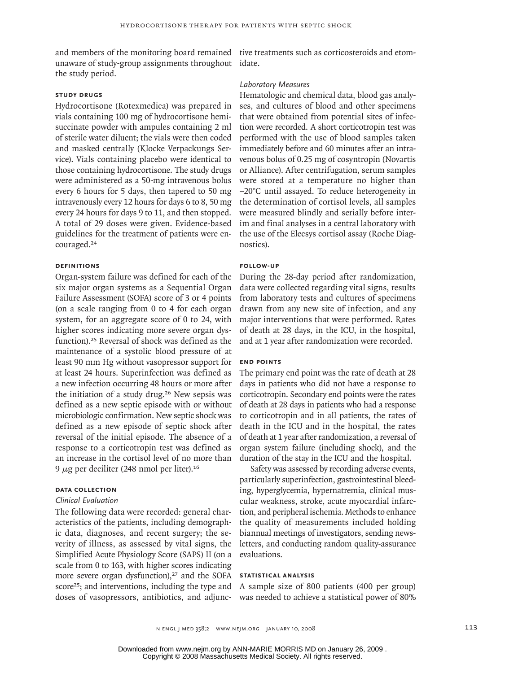unaware of study-group assignments throughout idate. the study period.

#### **Study Drugs**

Hydrocortisone (Rotexmedica) was prepared in vials containing 100 mg of hydrocortisone hemisuccinate powder with ampules containing 2 ml of sterile water diluent; the vials were then coded and masked centrally (Klocke Verpackungs Service). Vials containing placebo were identical to those containing hydrocortisone. The study drugs were administered as a 50-mg intravenous bolus every 6 hours for 5 days, then tapered to 50 mg intravenously every 12 hours for days 6 to 8, 50 mg every 24 hours for days 9 to 11, and then stopped. A total of 29 doses were given. Evidence-based guidelines for the treatment of patients were encouraged.<sup>24</sup>

#### **Definitions**

Organ-system failure was defined for each of the six major organ systems as a Sequential Organ Failure Assessment (SOFA) score of 3 or 4 points (on a scale ranging from 0 to 4 for each organ system, for an aggregate score of 0 to 24, with higher scores indicating more severe organ dysfunction).25 Reversal of shock was defined as the maintenance of a systolic blood pressure of at least 90 mm Hg without vasopressor support for at least 24 hours. Superinfection was defined as a new infection occurring 48 hours or more after the initiation of a study drug.26 New sepsis was defined as a new septic episode with or without microbiologic confirmation. New septic shock was defined as a new episode of septic shock after reversal of the initial episode. The absence of a response to a corticotropin test was defined as an increase in the cortisol level of no more than 9 μg per deciliter (248 nmol per liter).<sup>16</sup>

# **Data Collection**

#### *Clinical Evaluation*

The following data were recorded: general characteristics of the patients, including demographic data, diagnoses, and recent surgery; the severity of illness, as assessed by vital signs, the Simplified Acute Physiology Score (SAPS) II (on a scale from 0 to 163, with higher scores indicating more severe organ dysfunction),<sup>27</sup> and the SOFA score<sup>25</sup>; and interventions, including the type and doses of vasopressors, antibiotics, and adjunc-

and members of the monitoring board remained tive treatments such as corticosteroids and etom-

#### *Laboratory Measures*

Hematologic and chemical data, blood gas analyses, and cultures of blood and other specimens that were obtained from potential sites of infection were recorded. A short corticotropin test was performed with the use of blood samples taken immediately before and 60 minutes after an intravenous bolus of 0.25 mg of cosyntropin (Novartis or Alliance). After centrifugation, serum samples were stored at a temperature no higher than −20°C until assayed. To reduce heterogeneity in the determination of cortisol levels, all samples were measured blindly and serially before interim and final analyses in a central laboratory with the use of the Elecsys cortisol assay (Roche Diagnostics).

#### **Follow-up**

During the 28-day period after randomization, data were collected regarding vital signs, results from laboratory tests and cultures of specimens drawn from any new site of infection, and any major interventions that were performed. Rates of death at 28 days, in the ICU, in the hospital, and at 1 year after randomization were recorded.

#### **End Points**

The primary end point was the rate of death at 28 days in patients who did not have a response to corticotropin. Secondary end points were the rates of death at 28 days in patients who had a response to corticotropin and in all patients, the rates of death in the ICU and in the hospital, the rates of death at 1 year after randomization, a reversal of organ system failure (including shock), and the duration of the stay in the ICU and the hospital.

Safety was assessed by recording adverse events, particularly superinfection, gastrointestinal bleeding, hyperglycemia, hypernatremia, clinical muscular weakness, stroke, acute myocardial infarction, and peripheral ischemia. Methods to enhance the quality of measurements included holding biannual meetings of investigators, sending newsletters, and conducting random quality-assurance evaluations.

### **Statistical Analysis**

A sample size of 800 patients (400 per group) was needed to achieve a statistical power of 80%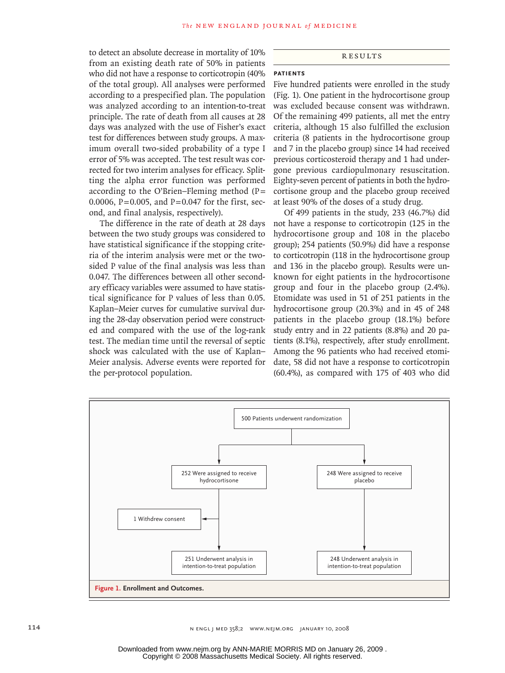to detect an absolute decrease in mortality of 10% from an existing death rate of 50% in patients who did not have a response to corticotropin (40%) of the total group). All analyses were performed according to a prespecified plan. The population was analyzed according to an intention-to-treat principle. The rate of death from all causes at 28 days was analyzed with the use of Fisher's exact test for differences between study groups. A maximum overall two-sided probability of a type I error of 5% was accepted. The test result was corrected for two interim analyses for efficacy. Splitting the alpha error function was performed according to the O'Brien–Fleming method (P= 0.0006, P=0.005, and P=0.047 for the first, second, and final analysis, respectively).

The difference in the rate of death at 28 days between the two study groups was considered to have statistical significance if the stopping criteria of the interim analysis were met or the twosided P value of the final analysis was less than 0.047. The differences between all other secondary efficacy variables were assumed to have statistical significance for P values of less than 0.05. Kaplan–Meier curves for cumulative survival during the 28-day observation period were constructed and compared with the use of the log-rank test. The median time until the reversal of septic shock was calculated with the use of Kaplan– Meier analysis. Adverse events were reported for the per-protocol population.

#### **RESULTS**

# **Patients**

Five hundred patients were enrolled in the study (Fig. 1). One patient in the hydrocortisone group was excluded because consent was withdrawn. Of the remaining 499 patients, all met the entry criteria, although 15 also fulfilled the exclusion criteria (8 patients in the hydrocortisone group and 7 in the placebo group) since 14 had received previous corticosteroid therapy and 1 had undergone previous cardiopulmonary resuscitation. Eighty-seven percent of patients in both the hydrocortisone group and the placebo group received at least 90% of the doses of a study drug.

Of 499 patients in the study, 233 (46.7%) did not have a response to corticotropin (125 in the hydrocortisone group and 108 in the placebo group); 254 patients (50.9%) did have a response to corticotropin (118 in the hydrocortisone group and 136 in the placebo group). Results were unknown for eight patients in the hydrocortisone group and four in the placebo group (2.4%). Etomidate was used in 51 of 251 patients in the hydrocortisone group (20.3%) and in 45 of 248 patients in the placebo group (18.1%) before study entry and in 22 patients (8.8%) and 20 patients (8.1%), respectively, after study enrollment. Among the 96 patients who had received etomidate, 58 did not have a response to corticotropin (60.4%), as compared with 175 of 403 who did

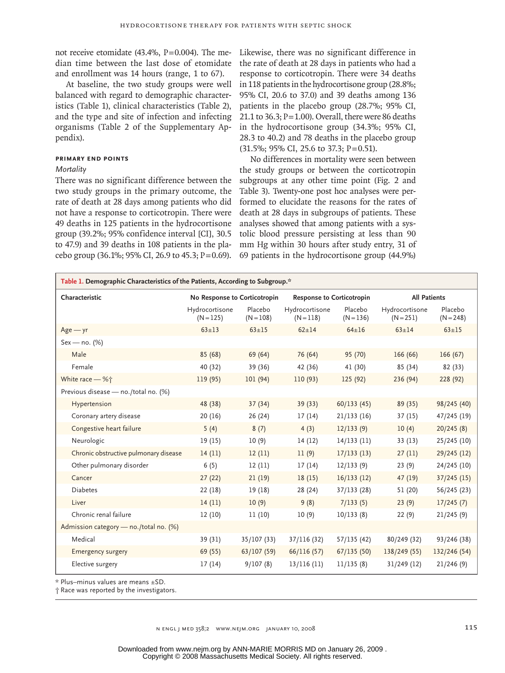not receive etomidate (43.4%, P=0.004). The median time between the last dose of etomidate and enrollment was 14 hours (range, 1 to 67).

At baseline, the two study groups were well balanced with regard to demographic characteristics (Table 1), clinical characteristics (Table 2), and the type and site of infection and infecting organisms (Table 2 of the Supplementary Appendix).

## **Primary End Points**

## *Mortality*

There was no significant difference between the two study groups in the primary outcome, the rate of death at 28 days among patients who did not have a response to corticotropin. There were 49 deaths in 125 patients in the hydrocortisone group (39.2%; 95% confidence interval [CI], 30.5 to 47.9) and 39 deaths in 108 patients in the placebo group  $(36.1\%; 95\% \text{ CI}, 26.9 \text{ to } 45.3; P=0.69)$ .

Likewise, there was no significant difference in the rate of death at 28 days in patients who had a response to corticotropin. There were 34 deaths in 118 patients in the hydrocortisone group (28.8%; 95% CI, 20.6 to 37.0) and 39 deaths among 136 patients in the placebo group (28.7%; 95% CI, 21.1 to 36.3;  $P = 1.00$ ). Overall, there were 86 deaths in the hydrocortisone group (34.3%; 95% CI, 28.3 to 40.2) and 78 deaths in the placebo group (31.5%; 95% CI, 25.6 to 37.3; P=0.51).

No differences in mortality were seen between the study groups or between the corticotropin subgroups at any other time point (Fig. 2 and Table 3). Twenty-one post hoc analyses were performed to elucidate the reasons for the rates of death at 28 days in subgroups of patients. These analyses showed that among patients with a systolic blood pressure persisting at less than 90 mm Hg within 30 hours after study entry, 31 of 69 patients in the hydrocortisone group (44.9%)

| Table 1. Demographic Characteristics of the Patients, According to Subgroup.* |                               |                        |                                  |                        |                               |                        |
|-------------------------------------------------------------------------------|-------------------------------|------------------------|----------------------------------|------------------------|-------------------------------|------------------------|
| Characteristic                                                                | No Response to Corticotropin  |                        | <b>Response to Corticotropin</b> |                        | <b>All Patients</b>           |                        |
|                                                                               | Hydrocortisone<br>$(N = 125)$ | Placebo<br>$(N = 108)$ | Hydrocortisone<br>$(N = 118)$    | Placebo<br>$(N = 136)$ | Hydrocortisone<br>$(N = 251)$ | Placebo<br>$(N = 248)$ |
| $Age - yr$                                                                    | $63 \pm 13$                   | $63 + 15$              | $62 + 14$                        | $64 \pm 16$            | $63 \pm 14$                   | $63 + 15$              |
| $Sex - no. (%)$                                                               |                               |                        |                                  |                        |                               |                        |
| Male                                                                          | 85 (68)                       | 69 (64)                | 76 (64)                          | 95 (70)                | 166(66)                       | 166(67)                |
| Female                                                                        | 40 (32)                       | 39 (36)                | 42 (36)                          | 41 (30)                | 85 (34)                       | 82 (33)                |
| White race - %†                                                               | 119 (95)                      | 101 (94)               | 110(93)                          | 125 (92)               | 236 (94)                      | 228 (92)               |
| Previous disease - no./total no. (%)                                          |                               |                        |                                  |                        |                               |                        |
| Hypertension                                                                  | 48 (38)                       | 37(34)                 | 39(33)                           | 60/133(45)             | 89 (35)                       | 98/245 (40)            |
| Coronary artery disease                                                       | 20 (16)                       | 26 (24)                | 17(14)                           | 21/133(16)             | 37 (15)                       | 47/245 (19)            |
| Congestive heart failure                                                      | 5(4)                          | 8(7)                   | 4(3)                             | 12/133(9)              | 10(4)                         | 20/245(8)              |
| Neurologic                                                                    | 19 (15)                       | 10(9)                  | 14(12)                           | 14/133(11)             | 33(13)                        | 25/245 (10)            |
| Chronic obstructive pulmonary disease                                         | 14(11)                        | 12(11)                 | 11(9)                            | 17/133(13)             | 27(11)                        | 29/245 (12)            |
| Other pulmonary disorder                                                      | 6(5)                          | 12(11)                 | 17(14)                           | 12/133(9)              | 23(9)                         | 24/245 (10)            |
| Cancer                                                                        | 27(22)                        | 21(19)                 | 18(15)                           | 16/133(12)             | 47 (19)                       | $37/245$ (15)          |
| <b>Diabetes</b>                                                               | 22 (18)                       | 19(18)                 | 28 (24)                          | 37/133 (28)            | 51 (20)                       | 56/245 (23)            |
| Liver                                                                         | 14(11)                        | 10(9)                  | 9(8)                             | 7/133(5)               | 23(9)                         | 17/245(7)              |
| Chronic renal failure                                                         | 12(10)                        | 11(10)                 | 10(9)                            | 10/133(8)              | 22(9)                         | 21/245(9)              |
| Admission category - no./total no. (%)                                        |                               |                        |                                  |                        |                               |                        |
| Medical                                                                       | 39 (31)                       | 35/107 (33)            | 37/116 (32)                      | 57/135 (42)            | 80/249 (32)                   | 93/246 (38)            |
| <b>Emergency surgery</b>                                                      | 69 (55)                       | 63/107(59)             | 66/116(57)                       | 67/135(50)             | 138/249 (55)                  | 132/246 (54)           |
| Elective surgery                                                              | 17(14)                        | 9/107(8)               | 13/116(11)                       | 11/135(8)              | 31/249 (12)                   | 21/246(9)              |

\* Plus–minus values are means ±SD.

† Race was reported by the investigators.

n engl j med 358;2 www.nejm.org january 10, 2008 115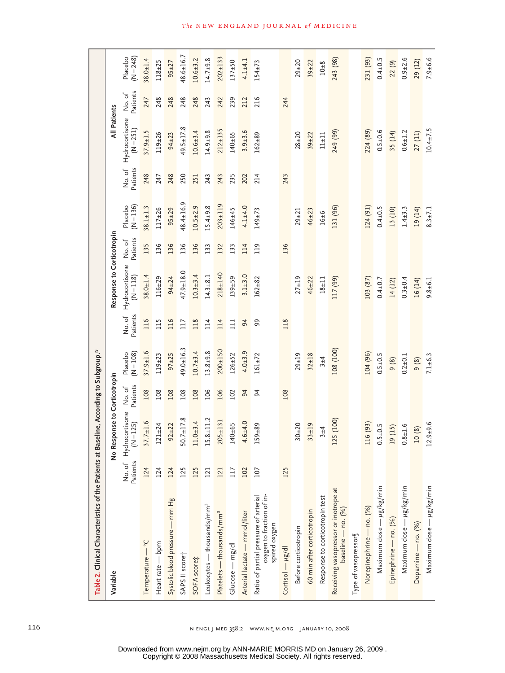| Table 2. Clinical Characteristics of the Patients at                                |          | Baseline, According to Subgroup.*          |                   |                        |                   |                               |                   |                        |                    |                               |                   |                        |
|-------------------------------------------------------------------------------------|----------|--------------------------------------------|-------------------|------------------------|-------------------|-------------------------------|-------------------|------------------------|--------------------|-------------------------------|-------------------|------------------------|
| Variable                                                                            |          | Response to Corticotropin<br>$\frac{1}{2}$ |                   |                        |                   | Response to Corticotropin     |                   |                        |                    | <b>All Patients</b>           |                   |                        |
|                                                                                     | Patients | No. of Hydrocortisone<br>$(N = 125)$       | Patients<br>No.of | $(N = 108)$<br>Placebo | Patients<br>No.of | Hydrocortisone<br>$(N = 118)$ | Patients<br>No.of | $(N = 136)$<br>Placebo | Patients<br>No. of | Hydrocortisone<br>$(N = 251)$ | Patients<br>No.of | $(N = 248)$<br>Placebo |
| Temperature - °C                                                                    | 124      | $37.7 \pm 1.6$                             | 108               | $37.9 \pm 1.6$         | 116               | $38.0 + 1.4$                  | 135               | $38.1 \pm 1.3$         | 248                | $37.9 \pm 1.5$                | 247               | $38.0 + 1.4$           |
| Heart rate - bpm                                                                    | 124      | $121 \pm 24$                               | 108               | $119 + 23$             | 115               | $116 + 29$                    | 136               | $117 + 26$             | 247                | $119 + 26$                    | 248               | $118 + 25$             |
| Systolic blood pressure - mm Hg                                                     | 124      | $92 + 22$                                  | 108               | $97 + 25$              | 116               | $94 + 24$                     | 136               | $95 + 29$              | 248                | $94 + 23$                     | 248               | $95 + 27$              |
| SAPS II score                                                                       | 125      | $50.7 \pm 17.8$                            | 108               | $49.0 + 16.3$          | 117               | $47.9 \pm 18.0$               | 136               | $48.4 \pm 16.9$        | 250                | $49.5 + 17.8$                 | 248               | $48.6 \pm 16.7$        |
| SOFA scoret                                                                         | 125      | $11.0 + 3.4$                               | 108               | $10.7 + 3.4$           | 118               | $10.3 + 3.4$                  | 136               | $10.5 + 2.9$           | 251                | $10.6 + 3.4$                  | 248               | $10.6 + 3.2$           |
| Leukocytes — thousands/mm <sup>3</sup>                                              | 121      | $15.8 \pm 11.2$                            | 106               | $13.8 + 9.8$           | 114               | $14.3 + 8.1$                  | 133               | $15.4 + 9.8$           | 243                | $14.9 + 9.8$                  | 243               | $14.7 + 9.8$           |
| Platelets — thousands/mm <sup>3</sup>                                               | 121      | $205 + 131$                                | 106               | $200 + 150$            | 114               | $218 + 140$                   | 132               | $203 + 119$            | 243                | $212 + 135$                   | 242               | $202 + 133$            |
| Glucose - mg/dl                                                                     | 117      | $140 + 65$                                 | 102               | $126 + 52$             | $\overline{11}$   | $139 + 59$                    | 133               | $146 + 45$             | 235                | $140 + 65$                    | 239               | $137 + 50$             |
| Arterial lactate - mmol/liter                                                       | 102      | $4.6 + 4.0$                                | $\overline{5}$    | $4.0 + 3.9$            | 64                | $3.1 + 3.0$                   | 114               | $4.1 + 4.0$            | 202                | $3.9 + 3.6$                   | 212               | $4.1 + 4.1$            |
| oxygen to fraction of in-<br>Ratio of partial pressure of arterial<br>spired oxygen | 107      | $159 + 89$                                 | 54                | $161 \pm 72$           | 99                | $162 + 82$                    | 119               | $149 + 73$             | 214                | $162 + 89$                    | 216               | $154 \pm 73$           |
| Cortisol $-\mu g/dl$                                                                | 125      |                                            | 108               |                        | 118               |                               | 136               |                        | 243                |                               | 244               |                        |
| Before corticotropin                                                                |          | $30 + 20$                                  |                   | $29 + 19$              |                   | $27 + 19$                     |                   | $29 + 21$              |                    | $28 + 20$                     |                   | $29 + 20$              |
| 60 min after corticotropin                                                          |          | $33 + 19$                                  |                   | $32 + 18$              |                   | $46 + 22$                     |                   | $46 + 23$              |                    | $39 + 22$                     |                   | $39 + 22$              |
| Response to corticotropin test                                                      |          | $3 + 4$                                    |                   | $3 + 4$                |                   | $18 + 11$                     |                   | 16±6                   |                    | $11 + 11$                     |                   | $10\pm8$               |
| Receiving vasopressor or inotrope at<br>baseline - no. (%)                          |          | 125 (100)                                  |                   | 108 (100)              |                   | 117 (99)                      |                   | 131 (96)               |                    | 249 (99)                      |                   | 243 (98)               |
| Type of vasopressor                                                                 |          |                                            |                   |                        |                   |                               |                   |                        |                    |                               |                   |                        |
| Norepinephrine - no. (%)                                                            |          | 116 (93)                                   |                   | 104 (96)               |                   | 103 (87)                      |                   | 124 (91)               |                    | 224 (89)                      |                   | 231 (93)               |
| Maximum dose - ug/kg/min                                                            |          | $0.5 + 0.5$                                |                   | $0.5 + 0.5$            |                   | $0.4 + 0.7$                   |                   | $0.4 + 0.5$            |                    | $0.5 + 0.6$                   |                   | $0.4 \pm 0.5$          |
| Epinephrine — no. (%)                                                               |          | 19 (15)                                    |                   | (8)                    |                   | 14(12)                        |                   | 13 (10)                |                    | 35 (14)                       |                   | 22 (9)                 |
| Maximum dose — µg/kg/min                                                            |          | $0.8 + 1.6$                                |                   | $0.2 + 0.1$            |                   | $0.3 + 0.4$                   |                   | $1.4 \pm 3.3$          |                    | $0.6 + 1.2$                   |                   | $0.9 + 2.6$            |
| Dopamine — no. (%)                                                                  |          | 10(8)                                      |                   | 9(8)                   |                   | 16 (14)                       |                   | 19 (14)                |                    | 27(11)                        |                   | 29 (12)                |
| Maximum dose - ug/kg/min                                                            |          | $12.9 + 9.6$                               |                   | $7.1 + 6.3$            |                   | $9.8 + 6.1$                   |                   | $8.3 \pm 7.1$          |                    | $10.4 \pm 7.5$                |                   | $7.9 + 6.6$            |

*The* NEW ENGLAND JOURNAL of MEDICINE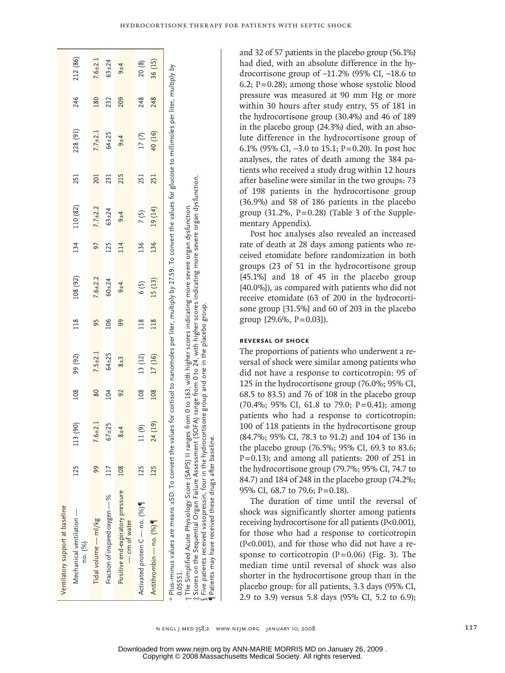|--|

| Ventilatory support at baseline                                                                                                                                                                                                                                                                                                                                                                                                                                                                                                                                                                                                                               |     |             |     |               |     |             |     |               |     |             |     |             |
|---------------------------------------------------------------------------------------------------------------------------------------------------------------------------------------------------------------------------------------------------------------------------------------------------------------------------------------------------------------------------------------------------------------------------------------------------------------------------------------------------------------------------------------------------------------------------------------------------------------------------------------------------------------|-----|-------------|-----|---------------|-----|-------------|-----|---------------|-----|-------------|-----|-------------|
| Mechanical ventilation —<br>no. (%)                                                                                                                                                                                                                                                                                                                                                                                                                                                                                                                                                                                                                           | 225 | 113 (90)    | 108 | 99 (92)       | 118 | 108 (92)    | 134 | 110 (82)      | 251 | 228 (91)    | 246 | 212 (86)    |
| Fidal volume - ml/kg                                                                                                                                                                                                                                                                                                                                                                                                                                                                                                                                                                                                                                          | 99  | $7.6 + 2.1$ | 80  | $7.5 \pm 2.1$ | 95  | $7.6 + 2.2$ | 97  | $7.7 \pm 2.2$ | 201 | $7.7 + 2.1$ | 180 | $7.6 + 2.1$ |
| Fraction of inspired oxygen - %                                                                                                                                                                                                                                                                                                                                                                                                                                                                                                                                                                                                                               |     | $67 + 25$   | 104 | $64 + 25$     | 106 | $60 + 24$   | 125 | $63 + 24$     | 231 | $64 + 25$   | 232 | $63 + 24$   |
| Positive end-expiratory pressure<br>- cm of water                                                                                                                                                                                                                                                                                                                                                                                                                                                                                                                                                                                                             | 108 | $8 + 4$     | 92  | $8 + 3$       | 99  | $9 + 4$     | 114 | $9 + 4$       | 215 | $9 + 4$     | 209 | $9 + 4$     |
| Activated protein C - no. (%)                                                                                                                                                                                                                                                                                                                                                                                                                                                                                                                                                                                                                                 | 125 | 11(9)       | 108 | 13 (12)       | 118 | 6 (5)       | 136 | 7(5)          | 251 | 17(7)       | 248 | 20 (8)      |
| Antithrombin — no. (%)                                                                                                                                                                                                                                                                                                                                                                                                                                                                                                                                                                                                                                        | 125 | 24 (19)     | 108 | 17 (16)       | 118 | 15 (13)     | 136 | 19 (14)       | 251 | 40 (16)     | 248 | 36 (15)     |
| * Plus-minus values are means ±SD. To convert the values for cortisol to nanomoles per liter, multiply by 27.59. To convert the values for glucose to millimoles per liter, multiply by<br>: Scores on the Sequential Organ Failure Assessment (SOFA) range from 0 to 24, with higher scores indicating more severe organ dysfunction<br>†The Simplified Acute Physiology Score (SAPS) II ranges from 0 to 163, with higher scores indicating more severe organ dysfunction.<br>$\S$ Five patients received vasopressin, four in the hydrocortisone group and one in the placebo group.<br>Patients may have received these drugs after baseline.<br>0.05551. |     |             |     |               |     |             |     |               |     |             |     |             |

and 32 of 57 patients in the placebo group (56.1%) had died, with an absolute difference in the hydrocortisone group of –11.2% (95% CI, –18.6 to 6.2;  $P=0.28$ ); among those whose systolic blood pressure was measured at 90 mm Hg or more within 30 hours after study entry, 55 of 181 in the hydrocortisone group (30.4%) and 46 of 189 in the placebo group (24.3%) died, with an absolute difference in the hydrocortisone group of 6.1% (95% CI, −3.0 to 15.1; P=0.20). In post hoc analyses, the rates of death among the 384 patients who received a study drug within 12 hours after baseline were similar in the two groups: 73 of 198 patients in the hydrocortisone group (36.9%) and 58 of 186 patients in the placebo group  $(31.2\%, P=0.28)$  (Table 3 of the Supplementary Appendix).

Post hoc analyses also revealed an increased rate of death at 28 days among patients who received etomidate before randomization in both groups (23 of 51 in the hydrocortisone group [45.1%] and 18 of 45 in the placebo group [40.0%]), as compared with patients who did not receive etomidate (63 of 200 in the hydrocortisone group [31.5%] and 60 of 203 in the placebo group  $[29.6\%, P=0.03]$ .

#### **Reversal of Shock**

The proportions of patients who underwent a reversal of shock were similar among patients who did not have a response to corticotropin: 95 of 125 in the hydrocortisone group (76.0%; 95% CI, 68.5 to 83.5) and 76 of 108 in the placebo group (70.4%; 95% CI, 61.8 to 79.0; P=0.41); among patients who had a response to corticotropin: 100 of 118 patients in the hydrocortisone group (84.7%; 95% CI, 78.3 to 91.2) and 104 of 136 in the placebo group (76.5%; 95% CI, 69.3 to 83.6; P=0.13); and among all patients: 200 of 251 in the hydrocortisone group (79.7%; 95% CI, 74.7 to 84.7) and 184 of 248 in the placebo group (74.2%; 95% CI, 68.7 to 79.6; P=0.18).

The duration of time until the reversal of shock was significantly shorter among patients receiving hydrocortisone for all patients (P<0.001), for those who had a response to corticotropin (P<0.001), and for those who did not have a response to corticotropin  $(P=0.06)$  (Fig. 3). The median time until reversal of shock was also shorter in the hydrocortisone group than in the placebo group: for all patients, 3.3 days (95% CI, 2.9 to 3.9) versus 5.8 days (95% CI, 5.2 to 6.9);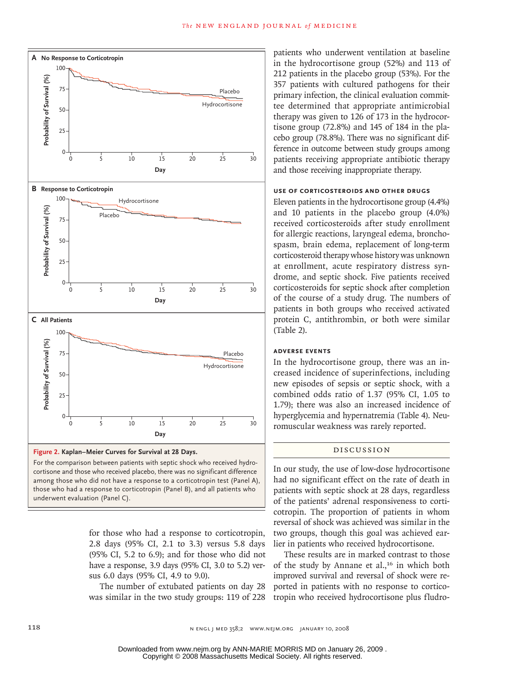

For the comparison between patients with septic shock who received hydrocortisone and those who received placebo, there was no significant difference those who had a response to corticotropin (Panel B), and all patients who **SIZE** among those who did not have a response to a corticotropin test (Panel A), underwent evaluation (Panel C).

Enon

Combo

for those who had a response to corticotropin, 2.8 days (95% CI, 2.1 to 3.3) versus 5.8 days  $(95\% \text{ CI}, 5.2 \text{ to } 6.9)$ ; and for those who did not have a response, 3.9 days (95% CI, 3.0 to 5.2) versus 6.0 days (95% CI, 4.9 to 9.0).

The number of extubated patients on day 28 was similar in the two study groups: 119 of 228 patients who underwent ventilation at baseline in the hydrocortisone group (52%) and 113 of 212 patients in the placebo group (53%). For the 357 patients with cultured pathogens for their primary infection, the clinical evaluation committee determined that appropriate antimicrobial therapy was given to 126 of 173 in the hydrocortisone group (72.8%) and 145 of 184 in the placebo group (78.8%). There was no significant difference in outcome between study groups among patients receiving appropriate antibiotic therapy and those receiving inappropriate therapy.

#### **Use of Corticosteroids and Other Drugs**

Eleven patients in the hydrocortisone group (4.4%) and 10 patients in the placebo group (4.0%) received corticosteroids after study enrollment for allergic reactions, laryngeal edema, bronchospasm, brain edema, replacement of long-term corticosteroid therapy whose history was unknown at enrollment, acute respiratory distress syndrome, and septic shock. Five patients received corticosteroids for septic shock after completion of the course of a study drug. The numbers of patients in both groups who received activated protein C, antithrombin, or both were similar (Table 2).

# **Adverse Events**

In the hydrocortisone group, there was an increased incidence of superinfections, including new episodes of sepsis or septic shock, with a combined odds ratio of 1.37 (95% CI, 1.05 to 1.79); there was also an increased incidence of hyperglycemia and hypernatremia (Table 4). Neuromuscular weakness was rarely reported.

# Discussion

In our study, the use of low-dose hydrocortisone had no significant effect on the rate of death in patients with septic shock at 28 days, regardless of the patients' adrenal responsiveness to corticotropin. The proportion of patients in whom reversal of shock was achieved was similar in the two groups, though this goal was achieved earlier in patients who received hydrocortisone.

These results are in marked contrast to those of the study by Annane et al.,<sup>16</sup> in which both improved survival and reversal of shock were reported in patients with no response to corticotropin who received hydrocortisone plus fludro-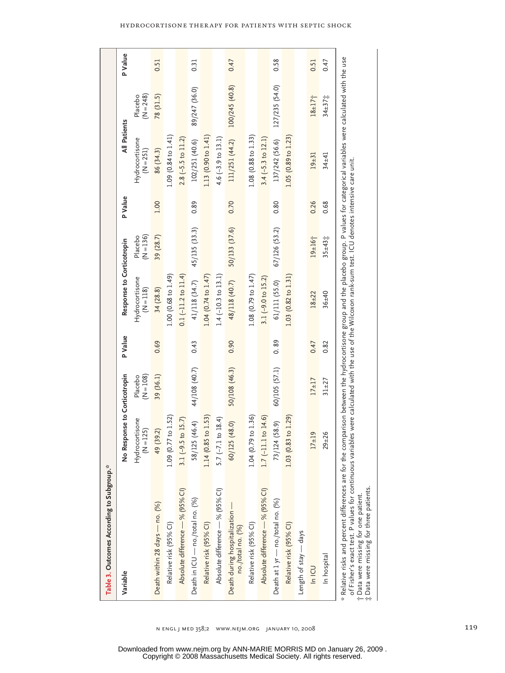| Table 3. Outcomes According to Subgroup.**                                                                                                                                                                                                                                                                                        |                               |                        |                |                                                                                                     |                        |         |                               |                          |         |
|-----------------------------------------------------------------------------------------------------------------------------------------------------------------------------------------------------------------------------------------------------------------------------------------------------------------------------------|-------------------------------|------------------------|----------------|-----------------------------------------------------------------------------------------------------|------------------------|---------|-------------------------------|--------------------------|---------|
| Variable                                                                                                                                                                                                                                                                                                                          | No Response to Corticotropin  |                        | <b>P</b> Value | Response to Corticotropin                                                                           |                        | P Value | All Patients                  |                          | P Value |
|                                                                                                                                                                                                                                                                                                                                   | Hydrocortisone<br>$(N = 125)$ | $(N = 108)$<br>Placebo |                | Hydrocortisone<br>(N=118)                                                                           | Placebo<br>(N=136)     |         | Hydrocortisone<br>$(N = 251)$ | Placebo<br>$(N = 248)$   |         |
| Death within 28 days - no. (%)                                                                                                                                                                                                                                                                                                    | 49 (39.2)                     | 39 (36.1)              | 0.69           | 34(28.8)                                                                                            | 39 (28.7)              | 1.00    | 86 (34.3)                     | 78 (31.5)                | 0.51    |
| Relative risk (95% CI)                                                                                                                                                                                                                                                                                                            | 1.09(0.77 to 1.52)            |                        |                | 1.00 (0.68 to 1.49)                                                                                 |                        |         | 1.09 (0.84 to 1.41)           |                          |         |
| Absolute difference - % (95% CI)                                                                                                                                                                                                                                                                                                  | $3.1 (-9.5 to 15.7)$          |                        |                | $0.1 (-11.2 to 11.4)$                                                                               |                        |         | $2.8$ (-5.5 to 11.2)          |                          |         |
| Death in ICU - no./total no. (%)                                                                                                                                                                                                                                                                                                  | 58/125 (46.4)                 | 44/108 (40.7)          | 0.43           | 41/118 (34.7)                                                                                       | 45/135 (33.3)          | 0.89    | 102/251 (40.6)                | 89/247 (36.0)            | 0.31    |
| Relative risk (95% CI)                                                                                                                                                                                                                                                                                                            | 1.14 (0.85 to 1.53)           |                        |                | $1.04$ (0.74 to $1.47$ )                                                                            |                        |         | 1.13 (0.90 to 1.41)           |                          |         |
| Absolute difference - % (95% CI)                                                                                                                                                                                                                                                                                                  | $5.7 (-7.1 to 18.4)$          |                        |                | $1.4$ (-10.3 to 13.1)                                                                               |                        |         | 4.6 $(-3.9 \text{ to } 13.1)$ |                          |         |
| Death during hospitalization -<br>no./total no. (%)                                                                                                                                                                                                                                                                               | 60/125 (48.0)                 | 50/108 (46.3)          | 0.90           | 48/118 (40.7)                                                                                       | 50/133 (37.6)          | 0.70    | 111/251 (44.2)                | 100/245 (40.8)           | 0.47    |
| Relative risk (95% CI)                                                                                                                                                                                                                                                                                                            | 1.04(0.79 to 1.36)            |                        |                | $1.08$ (0.79 to $1.47$ )                                                                            |                        |         | 1.08 (0.88 to 1.33)           |                          |         |
| Absolute difference - % (95% CI)                                                                                                                                                                                                                                                                                                  | $1.7$ (-11.1 to 14.6)         |                        |                | 3.1 $(-9.0 t0 15.2)$                                                                                |                        |         | 3.4 $(-5.3 \text{ to } 12.1)$ |                          |         |
| Death at 1 yr - no./total no. (%)                                                                                                                                                                                                                                                                                                 | 73/124 (58.9)                 | 60/105 (57.1)          | 0.89           | 61/111 (55.0)                                                                                       | 67/126 (53.2)          | 0.80    | 137/242 (56.6)                | 127/235 (54.0)           | 0.58    |
| Relative risk (95% CI)                                                                                                                                                                                                                                                                                                            | 1.03 (0.83 to 1.29)           |                        |                | 1.03 (0.82 to 1.31)                                                                                 |                        |         | 1.05 (0.89 to 1.23)           |                          |         |
| Length of stay - days                                                                                                                                                                                                                                                                                                             |                               |                        |                |                                                                                                     |                        |         |                               |                          |         |
| In ICU                                                                                                                                                                                                                                                                                                                            | $17 + 19$                     | $17 + 17$              | 0.47           | $18 + 22$                                                                                           | $19 + 16$ <sup>+</sup> | 0.26    | $19 + 31$                     | $18 \pm 17$ <sup>*</sup> | 0.51    |
| In hospital                                                                                                                                                                                                                                                                                                                       | $29 + 26$                     | $31 + 27$              | 0.82           | $36 + 40$                                                                                           | $35 \pm 43$            | 0.68    | $34 + 41$                     | $34 \pm 37$              | 0.47    |
| * Relative risks and percent differences are for the comparison between the hydrocortisone group and the placebo group. P values for categorical variables were calculated with the use<br>of Fisher's exact test. P values for continuous var<br># Data were missing for three patients.<br>t Data were missing for one patient. |                               |                        |                | iables were calculated with the use of the Wilcoxon rank-sum test. ICU denotes intensive care unit. |                        |         |                               |                          |         |

n engl j med 358;2 www.nejm.org january 10, 2008 119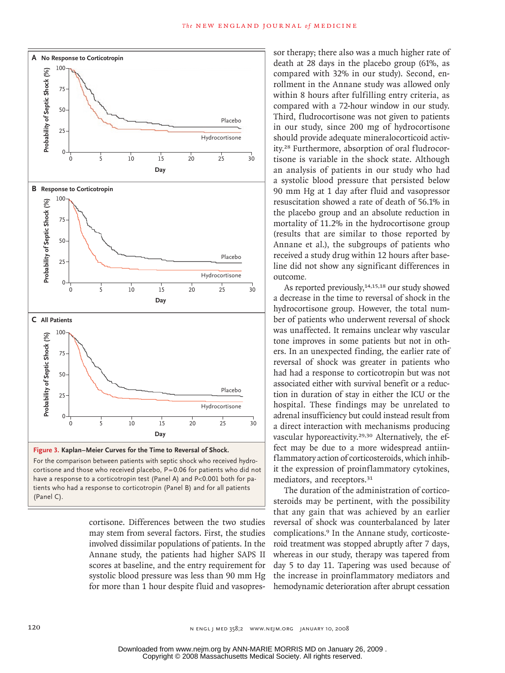

cortisone. Differences between the two studies may stem from several factors. First, the studies involved dissimilar populations of patients. In the Annane study, the patients had higher SAPS II scores at baseline, and the entry requirement for systolic blood pressure was less than 90 mm Hg for more than 1 hour despite fluid and vasopres-

Combo

sor therapy; there also was a much higher rate of death at 28 days in the placebo group (61%, as compared with 32% in our study). Second, enrollment in the Annane study was allowed only within 8 hours after fulfilling entry criteria, as compared with a 72-hour window in our study. Third, fludrocortisone was not given to patients in our study, since 200 mg of hydrocortisone should provide adequate mineralocorticoid activity.28 Furthermore, absorption of oral fludrocortisone is variable in the shock state. Although an analysis of patients in our study who had a systolic blood pressure that persisted below 90 mm Hg at 1 day after fluid and vasopressor resuscitation showed a rate of death of 56.1% in the placebo group and an absolute reduction in mortality of 11.2% in the hydrocortisone group (results that are similar to those reported by Annane et al.), the subgroups of patients who received a study drug within 12 hours after baseline did not show any significant differences in outcome*.*

As reported previously,  $14,15,18$  our study showed a decrease in the time to reversal of shock in the hydrocortisone group. However, the total number of patients who underwent reversal of shock was unaffected. It remains unclear why vascular tone improves in some patients but not in others. In an unexpected finding, the earlier rate of reversal of shock was greater in patients who had had a response to corticotropin but was not associated either with survival benefit or a reduction in duration of stay in either the ICU or the hospital. These findings may be unrelated to adrenal insufficiency but could instead result from a direct interaction with mechanisms producing vascular hyporeactivity.29,30 Alternatively, the effect may be due to a more widespread antiinflammatory action of corticosteroids, which inhibit the expression of proinflammatory cytokines, mediators, and receptors.<sup>31</sup>

The duration of the administration of corticosteroids may be pertinent, with the possibility that any gain that was achieved by an earlier reversal of shock was counterbalanced by later complications.9 In the Annane study, corticosteroid treatment was stopped abruptly after 7 days, whereas in our study, therapy was tapered from day 5 to day 11. Tapering was used because of the increase in proinflammatory mediators and hemodynamic deterioration after abrupt cessation

Enon

(Panel C).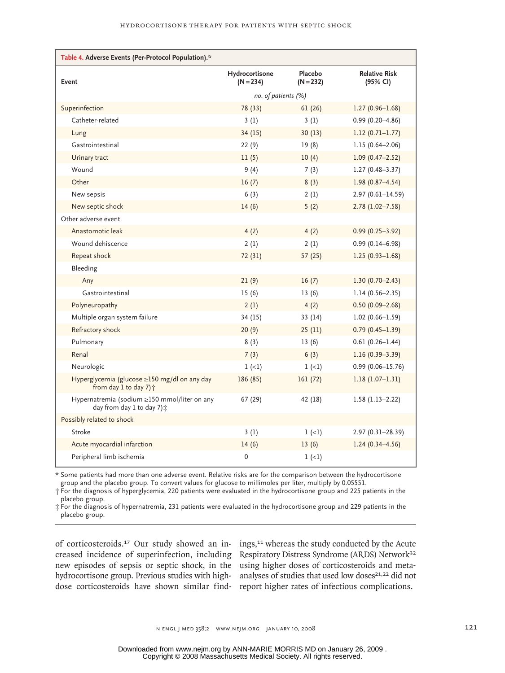| Table 4. Adverse Events (Per-Protocol Population).*                             |                               |                        |                                  |
|---------------------------------------------------------------------------------|-------------------------------|------------------------|----------------------------------|
| Event                                                                           | Hydrocortisone<br>$(N = 234)$ | Placebo<br>$(N = 232)$ | <b>Relative Risk</b><br>(95% CI) |
|                                                                                 | no. of patients (%)           |                        |                                  |
| Superinfection                                                                  | 78 (33)                       | 61(26)                 | $1.27(0.96 - 1.68)$              |
| Catheter-related                                                                | 3(1)                          | 3(1)                   | $0.99(0.20 - 4.86)$              |
| Lung                                                                            | 34(15)                        | 30(13)                 | $1.12(0.71 - 1.77)$              |
| Gastrointestinal                                                                | 22(9)                         | 19(8)                  | $1.15(0.64 - 2.06)$              |
| Urinary tract                                                                   | 11(5)                         | 10(4)                  | $1.09(0.47 - 2.52)$              |
| Wound                                                                           | 9(4)                          | 7(3)                   | $1.27(0.48 - 3.37)$              |
| Other                                                                           | 16(7)                         | 8(3)                   | $1.98(0.87 - 4.54)$              |
| New sepsis                                                                      | 6(3)                          | 2(1)                   | $2.97(0.61 - 14.59)$             |
| New septic shock                                                                | 14(6)                         | 5(2)                   | $2.78(1.02 - 7.58)$              |
| Other adverse event                                                             |                               |                        |                                  |
| Anastomotic leak                                                                | 4(2)                          | 4(2)                   | $0.99(0.25 - 3.92)$              |
| Wound dehiscence                                                                | 2(1)                          | 2(1)                   | $0.99(0.14 - 6.98)$              |
| Repeat shock                                                                    | 72 (31)                       | 57(25)                 | $1.25(0.93 - 1.68)$              |
| Bleeding                                                                        |                               |                        |                                  |
| Any                                                                             | 21(9)                         | 16(7)                  | $1.30(0.70 - 2.43)$              |
| Gastrointestinal                                                                | 15(6)                         | 13(6)                  | $1.14(0.56 - 2.35)$              |
| Polyneuropathy                                                                  | 2(1)                          | 4(2)                   | $0.50(0.09 - 2.68)$              |
| Multiple organ system failure                                                   | 34 (15)                       | 33(14)                 | $1.02(0.66 - 1.59)$              |
| Refractory shock                                                                | 20(9)                         | 25(11)                 | $0.79(0.45 - 1.39)$              |
| Pulmonary                                                                       | 8(3)                          | 13(6)                  | $0.61(0.26 - 1.44)$              |
| Renal                                                                           | 7(3)                          | 6(3)                   | $1.16(0.39 - 3.39)$              |
| Neurologic                                                                      | $1 (-1)$                      | $1 (-1)$               | $0.99(0.06 - 15.76)$             |
| Hyperglycemia (glucose ≥150 mg/dl on any day<br>from day 1 to day 7) $\uparrow$ | 186 (85)                      | 161(72)                | $1.18(1.07-1.31)$                |
| Hypernatremia (sodium ≥150 mmol/liter on any<br>day from day 1 to day 7) $\pm$  | 67 (29)                       | 42 (18)                | $1.58(1.13 - 2.22)$              |
| Possibly related to shock                                                       |                               |                        |                                  |
| Stroke                                                                          | 3(1)                          | $1 (-1)$               | 2.97 (0.31-28.39)                |
| Acute myocardial infarction                                                     | 14(6)                         | 13(6)                  | $1.24(0.34 - 4.56)$              |
| Peripheral limb ischemia                                                        | 0                             | $1 (-1)$               |                                  |

\* Some patients had more than one adverse event. Relative risks are for the comparison between the hydrocortisone group and the placebo group. To convert values for glucose to millimoles per liter, multiply by 0.05551.

† For the diagnosis of hyperglycemia, 220 patients were evaluated in the hydrocortisone group and 225 patients in the placebo group.

‡ For the diagnosis of hypernatremia, 231 patients were evaluated in the hydrocortisone group and 229 patients in the placebo group.

of corticosteroids.<sup>17</sup> Our study showed an in- ings,<sup>11</sup> whereas the study conducted by the Acute creased incidence of superinfection, including Respiratory Distress Syndrome (ARDS) Network<sup>32</sup> new episodes of sepsis or septic shock, in the using higher doses of corticosteroids and metahydrocortisone group. Previous studies with high- analyses of studies that used low doses<sup>21,22</sup> did not dose corticosteroids have shown similar find-report higher rates of infectious complications.

n engl j med 358;2 www.nejm.org january 10, 2008 121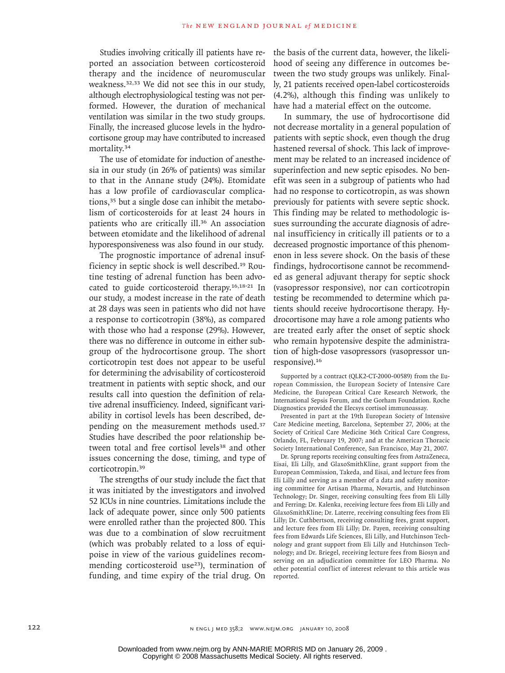Studies involving critically ill patients have reported an association between corticosteroid therapy and the incidence of neuromuscular weakness.32,33 We did not see this in our study, although electrophysiological testing was not performed. However, the duration of mechanical ventilation was similar in the two study groups. Finally, the increased glucose levels in the hydrocortisone group may have contributed to increased mortality.<sup>34</sup>

The use of etomidate for induction of anesthesia in our study (in 26% of patients) was similar to that in the Annane study (24%). Etomidate has a low profile of cardiovascular complications,<sup>35</sup> but a single dose can inhibit the metabolism of corticosteroids for at least 24 hours in patients who are critically ill.36 An association between etomidate and the likelihood of adrenal hyporesponsiveness was also found in our study.

The prognostic importance of adrenal insufficiency in septic shock is well described.19 Routine testing of adrenal function has been advocated to guide corticosteroid therapy.16,18-21 In our study, a modest increase in the rate of death at 28 days was seen in patients who did not have a response to corticotropin (38%), as compared with those who had a response (29%). However, there was no difference in outcome in either subgroup of the hydrocortisone group. The short corticotropin test does not appear to be useful for determining the advisability of corticosteroid treatment in patients with septic shock, and our results call into question the definition of relative adrenal insufficiency. Indeed, significant variability in cortisol levels has been described, depending on the measurement methods used.<sup>37</sup> Studies have described the poor relationship between total and free cortisol levels<sup>38</sup> and other issues concerning the dose, timing, and type of corticotropin.<sup>39</sup>

The strengths of our study include the fact that it was initiated by the investigators and involved 52 ICUs in nine countries. Limitations include the lack of adequate power, since only 500 patients were enrolled rather than the projected 800. This was due to a combination of slow recruitment (which was probably related to a loss of equipoise in view of the various guidelines recommending corticosteroid use<sup>23</sup>), termination of funding, and time expiry of the trial drug. On

the basis of the current data, however, the likelihood of seeing any difference in outcomes between the two study groups was unlikely. Finally, 21 patients received open-label corticosteroids (4.2%), although this finding was unlikely to have had a material effect on the outcome.

In summary, the use of hydrocortisone did not decrease mortality in a general population of patients with septic shock, even though the drug hastened reversal of shock. This lack of improvement may be related to an increased incidence of superinfection and new septic episodes. No benefit was seen in a subgroup of patients who had had no response to corticotropin, as was shown previously for patients with severe septic shock. This finding may be related to methodologic issues surrounding the accurate diagnosis of adrenal insufficiency in critically ill patients or to a decreased prognostic importance of this phenomenon in less severe shock. On the basis of these findings, hydrocortisone cannot be recommended as general adjuvant therapy for septic shock (vasopressor responsive), nor can corticotropin testing be recommended to determine which patients should receive hydrocortisone therapy. Hydrocortisone may have a role among patients who are treated early after the onset of septic shock who remain hypotensive despite the administration of high-dose vasopressors (vasopressor unresponsive).<sup>16</sup>

Supported by a contract (QLK2-CT-2000-00589) from the European Commission, the European Society of Intensive Care Medicine, the European Critical Care Research Network, the International Sepsis Forum, and the Gorham Foundation. Roche Diagnostics provided the Elecsys cortisol immunoassay.

Presented in part at the 19th European Society of Intensive Care Medicine meeting, Barcelona, September 27, 2006; at the Society of Critical Care Medicine 36th Critical Care Congress, Orlando, FL, February 19, 2007; and at the American Thoracic Society International Conference, San Francisco, May 21, 2007.

Dr. Sprung reports receiving consulting fees from AstraZeneca, Eisai, Eli Lilly, and GlaxoSmithKline, grant support from the European Commission, Takeda, and Eisai, and lecture fees from Eli Lilly and serving as a member of a data and safety monitoring committee for Artisan Pharma, Novartis, and Hutchinson Technology; Dr. Singer, receiving consulting fees from Eli Lilly and Ferring; Dr. Kalenka, receiving lecture fees from Eli Lilly and GlaxoSmithKline; Dr. Laterre, receiving consulting fees from Eli Lilly; Dr. Cuthbertson, receiving consulting fees, grant support, and lecture fees from Eli Lilly; Dr. Payen, receiving consulting fees from Edwards Life Sciences, Eli Lilly, and Hutchinson Technology and grant support from Eli Lilly and Hutchinson Technology; and Dr. Briegel, receiving lecture fees from Biosyn and serving on an adjudication committee for LEO Pharma. No other potential conflict of interest relevant to this article was reported.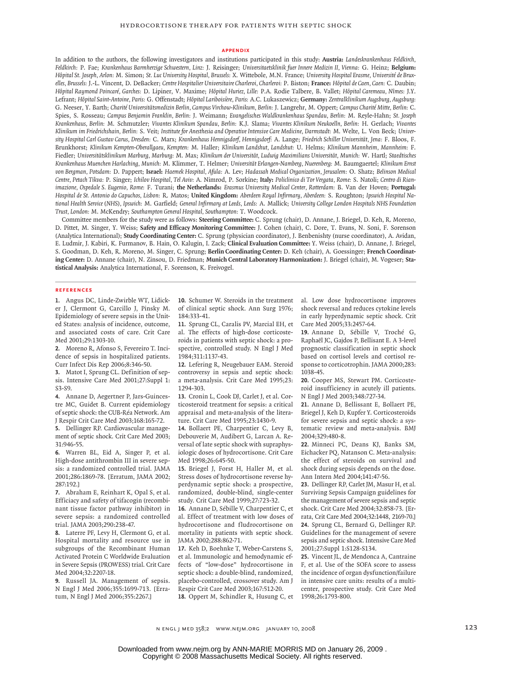#### **Appendix**

In addition to the authors, the following investigators and institutions participated in this study: **Austria:** *Landeskrankenhaus Feldkirch, Feldkirch:* P. Fae; *Krankenhaus Barmherzige Schwestern, Linz:* J. Reisinger; *Universitaetsklinik fuer Innere Medizin II, Vienna:* G. Heinz; **Belgium:** *Hôpital St. Joseph, Arlon:* M. Simon; *St. Luc University Hospital, Brussels:* X. Wittebole, M.N. France; *University Hospital Erasme, Université de Bruxelles, Brussels:* J.-L. Vincent, D. DeBacker; *Centre Hospitalier Universitaire Charleroi, Charleroi:* P. Biston; **France:** *Hôpital de Caen, Caen:* C. Daubin; *Hôpital Raymond Poincaré, Garches:* D. Lipiner, V. Maxime; *Hôpital Huriez, Lille:* P.A. Rodie Talbere, B. Vallet; *Hôpital Caremeau, Nîmes:* J.Y. Lefrant; *Hôpital Saint-Antoine, Paris:* G. Offenstadt; *Hôpital Lariboisière, Paris:* A.C. Lukaszewicz; **Germany:** *Zentralklinikum Augsburg, Augsburg:* G. Neeser, Y. Barth; *Charité Universitätsmedizin Berlin, Campus Virchow-Klinikum, Berlin:* J. Langrehr, M. Oppert; *Campus Charité Mitte, Berlin:* C. Spies, S. Rosseau; *Campus Benjamin Franklin, Berlin:* J. Weimann; *Evangelisches Waldkrankenhaus Spandau, Berlin:* M. Reyle-Hahn; *St. Joseph Krankenhaus, Berlin:* M. Schmutzler; *Vivantes Klinikum Spandau, Berlin:* K.J. Slama; *Vivantes Klinikum Neukoelln, Berlin:* H. Gerlach; *Vivantes Klinikum im Friedrichshain, Berlin:* S. Veit; *Institute for Anesthesia and Operative Intensive Care Medicine, Darmstadt:* M. Welte, L. Von Beck; *University Hospital Carl Gustav Carus, Dresden:* C. Marx; *Krankenhaus Hennigsdorf, Hennigsdorf:* A. Lange; *Friedrich Schiller Universität, Jena:* F. Bloos, F. Brunkhorst; *Klinikum Kempten-Oberallgaeu, Kempten:* M. Haller; *Klinikum Landshut, Landshut:* U. Helms; *Klinikum Mannheim, Mannheim:* F. Fiedler; *Universitätsklinikum Marburg, Marburg:* M. Max; *Klinikum der Universität, Ludwig Maximilians Universität, Munich:* W. Hartl; *Staedtisches Krankenhaus Muenchen Harlaching, Munich:* M. Klimmer, T. Helmer; *Universität Erlangen-Namberg, Nuerenberg:* M. Baumgaertel; *Klinikum Ernst von Bergman, Potsdam:* D. Pappert; **Israel:** *Haemek Hospital, Afula:* A. Lev; *Hadassah Medical Organization, Jerusalem:* O. Shatz; *Belinson Medical Centre, Petach Tikva:* P. Singer; *Ichilov Hospital, Tel Aviv:* A. Nimrod, P. Sorkine; **Italy:** *Policlinico di Tor Vergata, Rome:* S. Natoli; *Centro di Rianimazione, Ospedale S. Eugenio, Rome:* F. Turani; **the Netherlands:** *Erasmus University Medical Center, Rotterdam:* B. Van der Hoven; **Portugal:** *Hospital de St. Antonio do Capuchos, Lisbon:* R. Matos; **United Kingdom:** *Aberdeen Royal Infirmary, Aberdeen:* S. Roughton; *Ipswich Hospital National Health Service* (*NHS*)*, Ipswich:* M. Garfield; *General Infirmary at Leeds, Leeds:* A. Mallick; *University College London Hospitals NHS Foundation Trust, London:* M. McKendry; *Southampton General Hospital, Southampton:* T. Woodcock.

Committee members for the study were as follows: **Steering Committee:** C. Sprung (chair), D. Annane, J. Briegel, D. Keh, R. Moreno, D. Pittet, M. Singer, Y. Weiss; **Safety and Efficacy Monitoring Committee:** J. Cohen (chair), C. Dore, T. Evans, N. Soni, F. Sorenson (Analytica International); **Study Coordinating Center:** C. Sprung (physician coordinator), J. Benbenishty (nurse coordinator), A. Avidan, E. Ludmir, J. Kabiri, K. Furmanov, B. Hain, O. Kalugin, I. Zack; **Clinical Evaluation Committee:** Y. Weiss (chair), D. Annane, J. Briegel, S. Goodman, D. Keh, R. Moreno, M. Singer, C. Sprung; **Berlin Coordinating Center:** D. Keh (chair), A. Goessinger; **French Coordinating Center:** D. Annane (chair), N. Zinsou, D. Friedman; **Munich Central Laboratory Harmonization:** J. Briegel (chair), M. Vogeser; **Statistical Analysis:** Analytica International, F. Sorenson, K. Freivogel.

#### **References**

1. Angus DC, Linde-Zwirble WT, Lidicker J, Clermont G, Carcillo J, Pinsky M. Epidemiology of severe sepsis in the United States: analysis of incidence, outcome, and associated costs of care. Crit Care Med 2001;29:1303-10.

Moreno R, Afonso S, Fevereiro T. Inci-**2.** dence of sepsis in hospitalized patients. Curr Infect Dis Rep 2006;8:346-50.

Matot I, Sprung CL. Definition of sep-**3.** sis. Intensive Care Med 2001;27:Suppl 1: S3-S9.

Annane D, Aegertner P, Jars-Guinces-**4.** tre MC, Guidet B. Current epidemiology of septic shock: the CUB-Réa Network. Am J Respir Crit Care Med 2003;168:165-72.

5. Dellinger RP. Cardiovascular management of septic shock. Crit Care Med 2003; 31:946-55.

Warren BL, Eid A, Singer P, et al. **6.** High-dose antithrombin III in severe sepsis: a randomized controlled trial. JAMA 2001;286:1869-78. [Erratum, JAMA 2002; 287:192.]

Abraham E, Reinhart K, Opal S, et al. **7.** Efficiacy and safety of tifacogin (recombinant tissue factor pathway inhibitor) in severe sepsis: a randomized controlled trial. JAMA 2003;290:238-47.

Laterre PF, Levy H, Clermont G, et al. **8.** Hospital mortality and resource use in subgroups of the Recombinant Human Activated Protein C Worldwide Evaluation in Severe Sepsis (PROWESS) trial. Crit Care Med 2004;32:2207-18.

**9.** Russell JA. Management of sepsis. N Engl J Med 2006;355:1699-713. [Erratum, N Engl J Med 2006;355:2267.]

10. Schumer W. Steroids in the treatment of clinical septic shock. Ann Surg 1976; 184:333-41.

11. Sprung CL, Caralis PV, Marcial EH, et al. The effects of high-dose corticosteroids in patients with septic shock: a prospective, controlled study. N Engl J Med 1984;311:1137-43.

12. Lefering R, Neugebauer EAM. Steroid controversy in sepsis and septic shock: a meta-analysis. Crit Care Med 1995;23: 1294-303.

13. Cronin L, Cook DJ, Carlet J, et al. Corticosteroid treatment for sepsis: a critical appraisal and meta-analysis of the literature. Crit Care Med 1995;23:1430-9.

14. Bollaert PE, Charpentier C, Levy B, Debouverie M, Audibert G, Larcan A. Reversal of late septic shock with supraphysiologic doses of hydrocortisone. Crit Care Med 1998;26:645-50.

15. Briegel J, Forst H, Haller M, et al. Stress doses of hydrocortisone reverse hyperdynamic septic shock: a prospective, randomized, double-blind, single-center study. Crit Care Med 1999;27:723-32.

16. Annane D, Sébille V, Charpentier C, et al. Effect of treatment with low doses of hydrocortisone and fludrocortisone on mortality in patients with septic shock. JAMA 2002;288:862-71.

17. Keh D, Boehnke T, Weber-Carstens S, et al. Immunologic and hemodynamic effects of "low-dose" hydrocortisone in septic shock: a double-blind, randomized, placebo-controlled, crossover study. Am J Respir Crit Care Med 2003;167:512-20. 18. Oppert M, Schindler R, Husung C, et al. Low dose hydrocortisone improves shock reversal and reduces cytokine levels in early hyperdynamic septic shock. Crit Care Med 2005;33:2457-64.

Annane D, Sébille V, Troché G, **19.** Raphaël JC, Gajdos P, Bellisant E. A 3-level prognostic classification in septic shock based on cortisol levels and cortisol response to corticotrophin. JAMA 2000;283: 1038-45.

20. Cooper MS, Stewart PM. Corticosteroid insufficiency in acutely ill patients. N Engl J Med 2003;348:727-34.

Annane D, Bellissant E, Bollaert PE, **21.** Briegel J, Keh D, Kupfer Y. Corticosteroids for severe sepsis and septic shock: a systematic review and meta-analysis. BMJ 2004;329:480-8.

Minneci PC, Deans KJ, Banks SM, **22.** Eichacker PQ, Natanson C. Meta-analysis: the effect of steroids on survival and shock during sepsis depends on the dose. Ann Intern Med 2004;141:47-56.

23. Dellinger RP, Carlet JM, Masur H, et al. Surviving Sepsis Campaign guidelines for the management of severe sepsis and septic shock. Crit Care Med 2004;32:858-73. [Errata, Crit Care Med 2004;32:1448, 2169-70.] 24. Sprung CL, Bernard G, Dellinger RP. Guidelines for the management of severe sepsis and septic shock. Intensive Care Med 2001;27:Suppl 1:S128-S134.

25. Vincent JL, de Mendonca A, Cantraine F, et al. Use of the SOFA score to assess the incidence of organ dysfunction/failure in intensive care units: results of a multicenter, prospective study. Crit Care Med 1998;26:1793-800.

n engl j med 358;2 www.nejm.org january 10, 2008 123